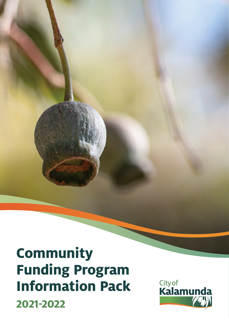# **Community Funding Program Information Pack 2021-2022**

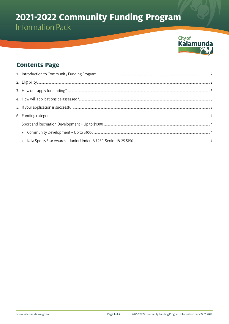# 2021-2022 Community Funding Program



## **Contents Page**

| $\mathcal{Y}$ |  |
|---------------|--|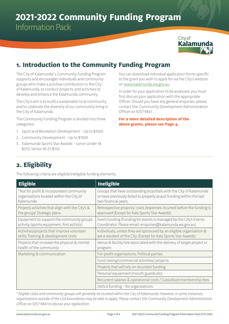## **2021-2022 Community Funding Program** Information Pack



## **1. Introduction to the Community Funding Program**

The City of Kalamunda' s Community Funding Program supports and encourages individuals and community groups who make a positive contribution to the City of Kalamunda, to conduct projects, and activities to develop and enhance the Kalamunda community.

The City's aim is to build a sustainable local community and to celebrate the diversity of our community living in the City of Kalamunda.

The Community Funding Program is divided into three categories:

- 1. Sport and Recreation Development Up to \$1000
- 2. Community Development Up to \$1000
- 3. Kalamunda Sports Star Awards Junior Under 18 \$250, Senior 18-25 \$150

You can download individual application forms specific to the grant you wish to apply for via the City's website on [www.kalamunda.wa.gov.au.](https://www.kalamunda.wa.gov.au)

In order for your application to be assessed, you must first discuss your application with the appropriate Officer. Should you have any general enquiries, please contact the Community Development Administration Officer on 9257 9841.

**For a more detailed description of the above grants, please see Page 4.**

## **2. Eligibility**

The following criteria are eligible/ineligible funding elements

| <b>Eligible</b>                                                                                   | <b>Ineligible</b>                                                                                                                                                  |
|---------------------------------------------------------------------------------------------------|--------------------------------------------------------------------------------------------------------------------------------------------------------------------|
| *Not for profit & incorporated community<br>organisations located within the City of<br>Kalamunda | Groups that have outstanding acquittals with the City of Kalamunda<br>or have previously failed to properly acquit funding within the last<br>two financial years. |
| Projects activities that align with the City's &<br>the groups' Strategic plans                   | Retrospective projects/costs/expenses incurred before the funding is<br>approved (Except for Kala Sports Star Awards)                                              |
| Equipment to support the community groups<br>activity (sports equipment, first aid kits)          | Event funding (Funding for events is managed by the City's Events<br>Coordinator. Please email: enquiries@kalamunda.wa.gov.au)                                     |
| Activities/projects that improve volunteer<br>skills/Training & development costs                 | Individuals, unless they are sponsored by an eligible organisation &<br>are a resident of the City. (Except for Kala Sports Star Awards)                           |
| Projects that increase the physical & mental<br>health of the community                           | Venue & facility hire associated with the delivery of target project or<br>program                                                                                 |
| Marketing & communication                                                                         | For-profit organisations. Political parties                                                                                                                        |
|                                                                                                   | Fund raising/commercial activities/ projects                                                                                                                       |
|                                                                                                   | Projects that will rely on recurrent funding                                                                                                                       |
|                                                                                                   | Personal equipment (mouth guards etc)                                                                                                                              |
|                                                                                                   | Recurrent salaries & operational costs / Subsidised membership fees                                                                                                |
|                                                                                                   | Deficit funding - for organisations                                                                                                                                |

*\* Eligible clubs and community groups will generally be located within the City of Kalamunda. However, in some instances, organisations outside of the LGA boundaries may be able to apply. Please contact the Community Development Administration Officer on 9257 9841 to discuss your application.*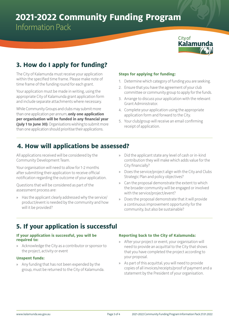## **2021-2022 Community Funding Program**

Information Pack



## **3. How do I apply for funding?**

The City of Kalamunda must receive your application within the specified time frame. Please make note of time frame of the funding round for each grant.

Your application must be made in writing, using the appropriate City of Kalamunda grant application form and include separate attachments where necessary.

While Community Groups and clubs may submit more than one application per annum, **only one application per organisation will be funded in any financial year (July 1 to June 30)**. Organisations wishing to submit more than one application should prioritise their applications.

## **Steps for applying for funding:**

- 1. Determine which category of funding you are seeking.
- 2. Ensure that you have the agreement of your club committee or community group to apply for the funds.
- 3. Arrange to discuss your application with the relevant Grant Administrator.
- 4. Complete your application using the appropriate application form and forward to the City.
- 5. Your club/group will receive an email confirming receipt of application.

## **4. How will applications be assessed?**

All applications received will be considered by the Community Development Team.

Your organisation will need to allow for 1-2 months after submitting their application to receive official notification regarding the outcome of your application.

Questions that will be considered as part of the assessment process are:

- » Has the applicant clearly addressed why the service/ product/event is needed by the community and how will it be provided?
- » Did the applicant state any level of cash or in-kind contribution they will make which adds value for the City financially?
- » Does the service/project align with the City and Clubs Strategic Plan and policy objectives?
- » Can the proposal demonstrate the extent to which the broader community will be engaged or involved with the service/project/event?
- » Does the proposal demonstrate that it will provide a continuous improvement opportunity for the community, but also be sustainable?

## **5. If your application is successful**

#### **If your application is successful, you will be required to:**

» Acknowledge the City as a contributor or sponsor to the project, activity or event

## **Unspent funds:**

» Any funding that has not been expended by the group, must be returned to the City of Kalamunda.

## **Reporting back to the City of Kalamunda:**

- » After your project or event, your organisation will need to provide an acquittal to the City that shows that you have completed the project according to your proposal.
- » As part of this acquittal, you will need to provide copies of all invoices/receipts/proof of payment and a statement by the President of your organisation.